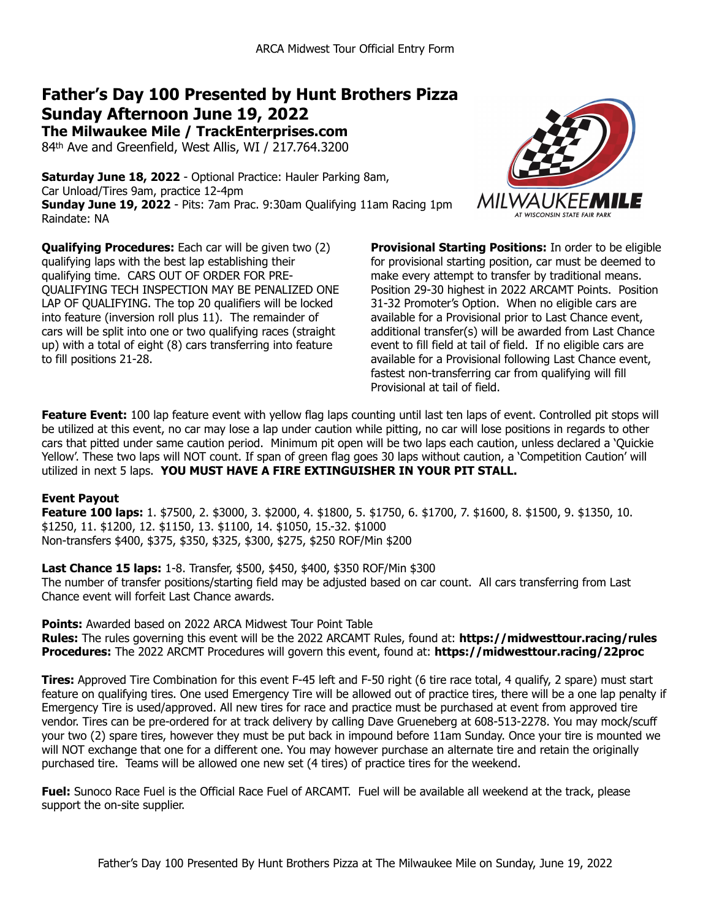# **Father's Day 100 Presented by Hunt Brothers Pizza Sunday Afternoon June 19, 2022**

**The Milwaukee Mile / TrackEnterprises.com** 84th Ave and Greenfield, West Allis, WI / 217.764.3200

**Saturday June 18, 2022** - Optional Practice: Hauler Parking 8am, Car Unload/Tires 9am, practice 12-4pm **Sunday June 19, 2022** - Pits: 7am Prac. 9:30am Qualifying 11am Racing 1pm Raindate: NA

**Qualifying Procedures:** Each car will be given two (2) qualifying laps with the best lap establishing their qualifying time. CARS OUT OF ORDER FOR PRE-QUALIFYING TECH INSPECTION MAY BE PENALIZED ONE LAP OF QUALIFYING. The top 20 qualifiers will be locked into feature (inversion roll plus 11). The remainder of cars will be split into one or two qualifying races (straight up) with a total of eight (8) cars transferring into feature to fill positions 21-28.



**Provisional Starting Positions:** In order to be eligible for provisional starting position, car must be deemed to make every attempt to transfer by traditional means. Position 29-30 highest in 2022 ARCAMT Points. Position 31-32 Promoter's Option. When no eligible cars are available for a Provisional prior to Last Chance event, additional transfer(s) will be awarded from Last Chance event to fill field at tail of field. If no eligible cars are available for a Provisional following Last Chance event, fastest non-transferring car from qualifying will fill Provisional at tail of field.

Feature Event: 100 lap feature event with yellow flag laps counting until last ten laps of event. Controlled pit stops will be utilized at this event, no car may lose a lap under caution while pitting, no car will lose positions in regards to other cars that pitted under same caution period. Minimum pit open will be two laps each caution, unless declared a 'Quickie Yellow'. These two laps will NOT count. If span of green flag goes 30 laps without caution, a 'Competition Caution' will utilized in next 5 laps. **YOU MUST HAVE A FIRE EXTINGUISHER IN YOUR PIT STALL.**

# **Event Payout**

**Feature 100 laps:** 1. \$7500, 2. \$3000, 3. \$2000, 4. \$1800, 5. \$1750, 6. \$1700, 7. \$1600, 8. \$1500, 9. \$1350, 10. \$1250, 11. \$1200, 12. \$1150, 13. \$1100, 14. \$1050, 15.-32. \$1000 Non-transfers \$400, \$375, \$350, \$325, \$300, \$275, \$250 ROF/Min \$200

**Last Chance 15 laps:** 1-8. Transfer, \$500, \$450, \$400, \$350 ROF/Min \$300 The number of transfer positions/starting field may be adjusted based on car count. All cars transferring from Last Chance event will forfeit Last Chance awards.

**Points:** Awarded based on 2022 ARCA Midwest Tour Point Table **Rules:** The rules governing this event will be the 2022 ARCAMT Rules, found at: **https://midwesttour.racing/rules Procedures:** The 2022 ARCMT Procedures will govern this event, found at: **https://midwesttour.racing/22proc**

**Tires:** Approved Tire Combination for this event F-45 left and F-50 right (6 tire race total, 4 qualify, 2 spare) must start feature on qualifying tires. One used Emergency Tire will be allowed out of practice tires, there will be a one lap penalty if Emergency Tire is used/approved. All new tires for race and practice must be purchased at event from approved tire vendor. Tires can be pre-ordered for at track delivery by calling Dave Grueneberg at 608-513-2278. You may mock/scuff your two (2) spare tires, however they must be put back in impound before 11am Sunday. Once your tire is mounted we will NOT exchange that one for a different one. You may however purchase an alternate tire and retain the originally purchased tire. Teams will be allowed one new set (4 tires) of practice tires for the weekend.

**Fuel:** Sunoco Race Fuel is the Official Race Fuel of ARCAMT. Fuel will be available all weekend at the track, please support the on-site supplier.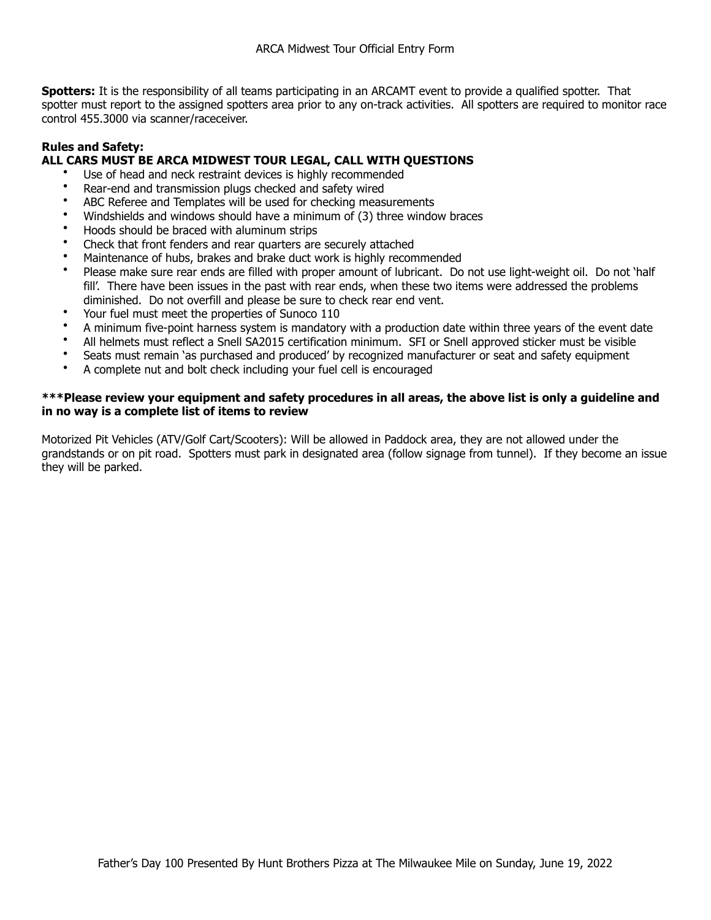**Spotters:** It is the responsibility of all teams participating in an ARCAMT event to provide a qualified spotter. That spotter must report to the assigned spotters area prior to any on-track activities. All spotters are required to monitor race control 455.3000 via scanner/raceceiver.

# **Rules and Safety:**

# **ALL CARS MUST BE ARCA MIDWEST TOUR LEGAL, CALL WITH QUESTIONS**

- Use of head and neck restraint devices is highly recommended
- Rear-end and transmission plugs checked and safety wired
- ABC Referee and Templates will be used for checking measurements
- Windshields and windows should have a minimum of (3) three window braces
- Hoods should be braced with aluminum strips
- Check that front fenders and rear quarters are securely attached
- Maintenance of hubs, brakes and brake duct work is highly recommended
- Please make sure rear ends are filled with proper amount of lubricant. Do not use light-weight oil. Do not 'half fill'. There have been issues in the past with rear ends, when these two items were addressed the problems diminished. Do not overfill and please be sure to check rear end vent.
- Your fuel must meet the properties of Sunoco 110
- A minimum five-point harness system is mandatory with a production date within three years of the event date
- All helmets must reflect a Snell SA2015 certification minimum. SFI or Snell approved sticker must be visible
- Seats must remain 'as purchased and produced' by recognized manufacturer or seat and safety equipment
- A complete nut and bolt check including your fuel cell is encouraged

## **\*\*\*Please review your equipment and safety procedures in all areas, the above list is only a guideline and in no way is a complete list of items to review**

Motorized Pit Vehicles (ATV/Golf Cart/Scooters): Will be allowed in Paddock area, they are not allowed under the grandstands or on pit road. Spotters must park in designated area (follow signage from tunnel). If they become an issue they will be parked.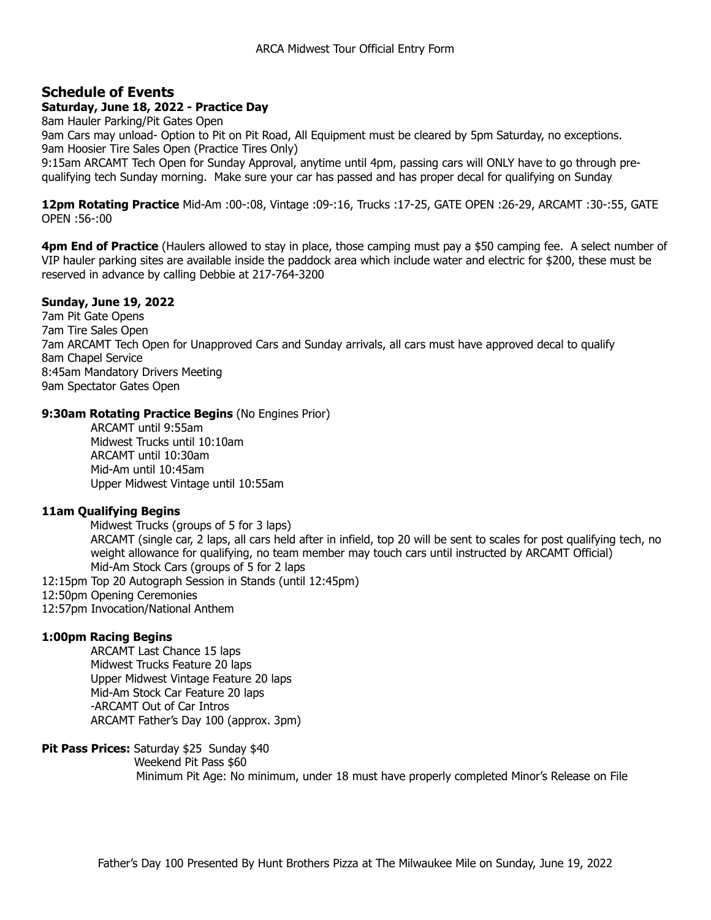# **Schedule of Events**

## **Saturday, June 18, 2022 - Practice Day**

8am Hauler Parking/Pit Gates Open 9am Cars may unload- Option to Pit on Pit Road, All Equipment must be cleared by 5pm Saturday, no exceptions. 9am Hoosier Tire Sales Open (Practice Tires Only) 9:15am ARCAMT Tech Open for Sunday Approval, anytime until 4pm, passing cars will ONLY have to go through prequalifying tech Sunday morning. Make sure your car has passed and has proper decal for qualifying on Sunday

**12pm Rotating Practice** Mid-Am :00-:08, Vintage :09-:16, Trucks :17-25, GATE OPEN :26-29, ARCAMT :30-:55, GATE OPEN :56-:00

**4pm End of Practice** (Haulers allowed to stay in place, those camping must pay a \$50 camping fee. A select number of VIP hauler parking sites are available inside the paddock area which include water and electric for \$200, these must be reserved in advance by calling Debbie at 217-764-3200

## **Sunday, June 19, 2022**

7am Pit Gate Opens 7am Tire Sales Open 7am ARCAMT Tech Open for Unapproved Cars and Sunday arrivals, all cars must have approved decal to qualify 8am Chapel Service 8:45am Mandatory Drivers Meeting 9am Spectator Gates Open

#### **9:30am Rotating Practice Begins** (No Engines Prior)

 ARCAMT until 9:55am Midwest Trucks until 10:10am ARCAMT until 10:30am Mid-Am until 10:45am Upper Midwest Vintage until 10:55am

## **11am Qualifying Begins**

Midwest Trucks (groups of 5 for 3 laps) ARCAMT (single car, 2 laps, all cars held after in infield, top 20 will be sent to scales for post qualifying tech, no weight allowance for qualifying, no team member may touch cars until instructed by ARCAMT Official) Mid-Am Stock Cars (groups of 5 for 2 laps

- 12:15pm Top 20 Autograph Session in Stands (until 12:45pm)
- 12:50pm Opening Ceremonies
- 12:57pm Invocation/National Anthem

## **1:00pm Racing Begins**

 ARCAMT Last Chance 15 laps Midwest Trucks Feature 20 laps Upper Midwest Vintage Feature 20 laps Mid-Am Stock Car Feature 20 laps -ARCAMT Out of Car Intros ARCAMT Father's Day 100 (approx. 3pm)

## **Pit Pass Prices:** Saturday \$25 Sunday \$40

```
 Weekend Pit Pass $60
```
Minimum Pit Age: No minimum, under 18 must have properly completed Minor's Release on File